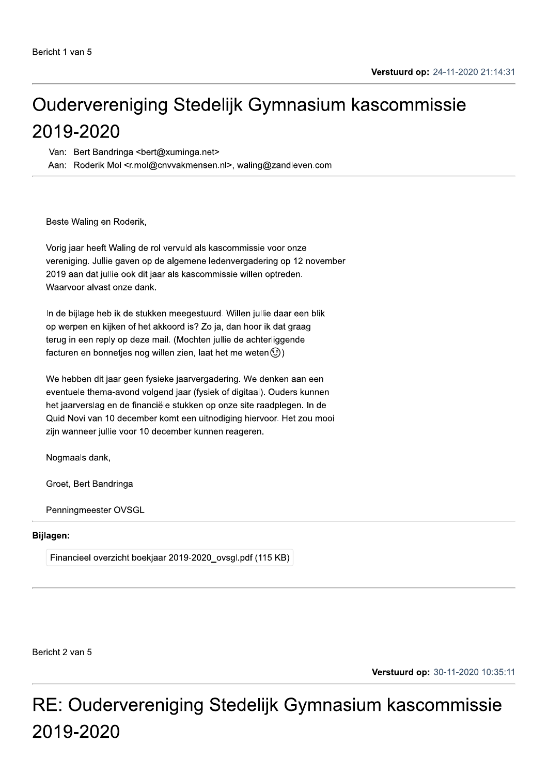# Oudervereniging Stedelijk Gymnasium kascommissie 2019-2020

Van: Bert Bandringa <bert@xuminga.net>

Aan: Roderik Mol <r.mol@cnvvakmensen.nl>, waling@zandleven.com

Beste Waling en Roderik,

Vorig jaar heeft Waling de rol vervuld als kascommissie voor onze vereniging. Jullie gaven op de algemene ledenvergadering op 12 november 2019 aan dat jullie ook dit jaar als kascommissie willen optreden. Waarvoor alvast onze dank.

In de bijlage heb ik de stukken meegestuurd. Willen jullie daar een blik op werpen en kijken of het akkoord is? Zo ja, dan hoor ik dat graag terug in een reply op deze mail. (Mochten jullie de achterliggende facturen en bonnetjes nog willen zien, laat het me weten $\textcircled{\scriptsize\textsf{3}}$ )

We hebben dit jaar geen fysieke jaarvergadering. We denken aan een eventuele thema-avond volgend jaar (fysiek of digitaal). Ouders kunnen het jaarverslag en de financiële stukken op onze site raadplegen. In de Quid Novi van 10 december komt een uitnodiging hiervoor. Het zou mooi zijn wanneer jullie voor 10 december kunnen reageren.

Nogmaals dank,

Groet, Bert Bandringa

Penningmeester OVSGL

#### **Bijlagen:**

Financieel overzicht boekjaar 2019-2020 ovsgl.pdf (115 KB)

Bericht 2 van 5

Verstuurd op: 30-11-2020 10:35:11

RE: Oudervereniging Stedelijk Gymnasium kascommissie 2019-2020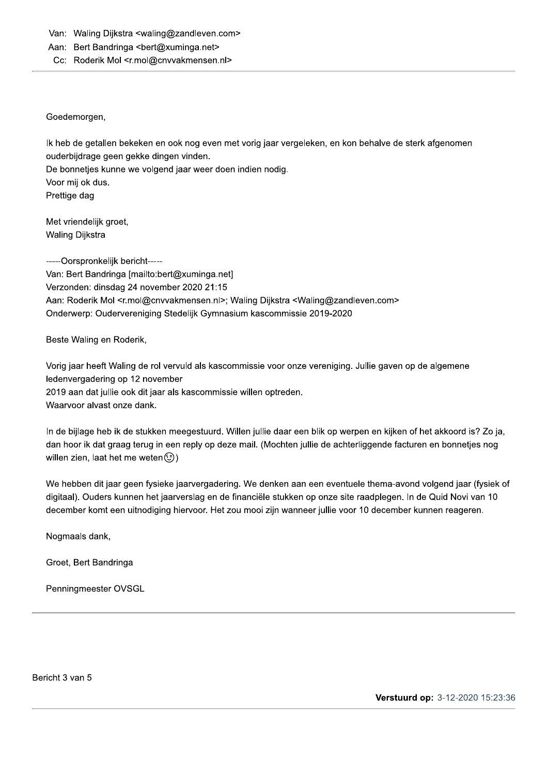Van: Waling Dijkstra <waling@zandleven.com>

Aan: Bert Bandringa <bert@xuminga.net>

#### Cc: Roderik Mol <r.mol@cnvvakmensen.nl>

#### Goedemorgen,

Ik heb de getallen bekeken en ook nog even met vorig jaar vergeleken, en kon behalve de sterk afgenomen ouderbijdrage geen gekke dingen vinden.

De bonnetjes kunne we volgend jaar weer doen indien nodig.

Voor mij ok dus. Prettige dag

Met vriendelijk groet, Waling Dijkstra

-----Oorspronkelijk bericht-----Van: Bert Bandringa [mailto:bert@xuminga.net] Verzonden: dinsdag 24 november 2020 21:15 Aan: Roderik Mol <r.mol@cnvvakmensen.nl>; Waling Dijkstra <Waling@zandleven.com> Onderwerp: Oudervereniging Stedelijk Gymnasium kascommissie 2019-2020

Beste Waling en Roderik,

Vorig jaar heeft Waling de rol vervuld als kascommissie voor onze vereniging. Jullie gaven op de algemene ledenvergadering op 12 november 2019 aan dat jullie ook dit jaar als kascommissie willen optreden. Waarvoor alvast onze dank.

In de bijlage heb ik de stukken meegestuurd. Willen jullie daar een blik op werpen en kijken of het akkoord is? Zo ja, dan hoor ik dat graag terug in een reply op deze mail. (Mochten jullie de achterliggende facturen en bonnetjes nog willen zien, laat het me weten (c)

We hebben dit jaar geen fysieke jaarvergadering. We denken aan een eventuele thema-avond volgend jaar (fysiek of digitaal). Ouders kunnen het jaarverslag en de financiële stukken op onze site raadplegen. In de Quid Novi van 10 december komt een uitnodiging hiervoor. Het zou mooi zijn wanneer jullie voor 10 december kunnen reageren.

Nogmaals dank,

Groet, Bert Bandringa

Penningmeester OVSGL

Bericht 3 van 5

Verstuurd op: 3-12-2020 15:23:36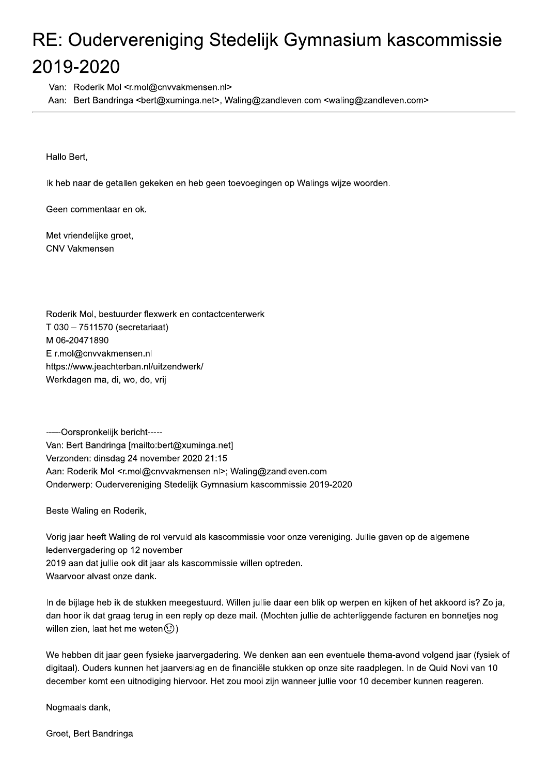# RE: Oudervereniging Stedelijk Gymnasium kascommissie 2019-2020

Van: Roderik Mol <r.mol@cnvvakmensen.nl>

Aan: Bert Bandringa <bert@xuminga.net>, Waling@zandleven.com <waling@zandleven.com>

Hallo Bert,

Ik heb naar de getallen gekeken en heb geen toevoegingen op Walings wijze woorden.

Geen commentaar en ok.

Met vriendelijke groet, **CNV Vakmensen** 

Roderik Mol, bestuurder flexwerk en contactcenterwerk T 030 - 7511570 (secretariaat) M 06-20471890 Er.mol@cnvvakmensen.nl https://www.jeachterban.nl/uitzendwerk/ Werkdagen ma, di, wo, do, vrij

-----Oorspronkelijk bericht-----Van: Bert Bandringa [mailto:bert@xuminga.net] Verzonden: dinsdag 24 november 2020 21:15 Aan: Roderik Mol <r.mol@cnvvakmensen.nl>; Waling@zandleven.com Onderwerp: Oudervereniging Stedelijk Gymnasium kascommissie 2019-2020

Beste Waling en Roderik,

Vorig jaar heeft Waling de rol vervuld als kascommissie voor onze vereniging. Jullie gaven op de algemene ledenvergadering op 12 november 2019 aan dat jullie ook dit jaar als kascommissie willen optreden. Waarvoor alvast onze dank.

In de bijlage heb ik de stukken meegestuurd. Willen jullie daar een blik op werpen en kijken of het akkoord is? Zo ja, dan hoor ik dat graag terug in een reply op deze mail. (Mochten jullie de achterliggende facturen en bonnetjes nog willen zien, laat het me weten (c)

We hebben dit jaar geen fysieke jaarvergadering. We denken aan een eventuele thema-avond volgend jaar (fysiek of digitaal). Ouders kunnen het jaarverslag en de financiële stukken op onze site raadplegen. In de Quid Novi van 10 december komt een uitnodiging hiervoor. Het zou mooi zijn wanneer jullie voor 10 december kunnen reageren.

Nogmaals dank,

Groet, Bert Bandringa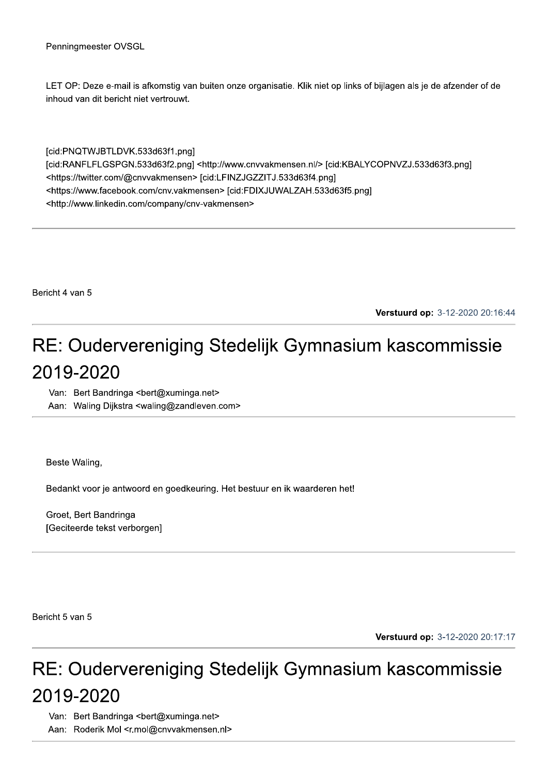LET OP: Deze e-mail is afkomstig van buiten onze organisatie. Klik niet op links of bijlagen als je de afzender of de inhoud van dit bericht niet vertrouwt.

[cid:PNQTWJBTLDVK.533d63f1.png] [cid:RANFLFLGSPGN.533d63f2.png] <http://www.cnvvakmensen.nl/> [cid:KBALYCOPNVZJ.533d63f3.png] <https://twitter.com/@cnvvakmensen> [cid:LFINZJGZZITJ.533d63f4.png] <https://www.facebook.com/cnv.vakmensen> [cid:FDIXJUWALZAH.533d63f5.png] <http://www.linkedin.com/company/cnv-vakmensen>

Bericht 4 van 5

Verstuurd op: 3-12-2020 20:16:44

## RE: Oudervereniging Stedelijk Gymnasium kascommissie 2019-2020

Van: Bert Bandringa <bert@xuminga.net> Aan: Waling Dijkstra <waling@zandleven.com>

Beste Waling,

Bedankt voor je antwoord en goedkeuring. Het bestuur en ik waarderen het!

Groet, Bert Bandringa [Geciteerde tekst verborgen]

Bericht 5 van 5

Verstuurd op: 3-12-2020 20:17:17

### RE: Oudervereniging Stedelijk Gymnasium kascommissie 2019-2020

Van: Bert Bandringa <bert@xuminga.net>

Aan: Roderik Mol <r.mol@cnvvakmensen.nl>